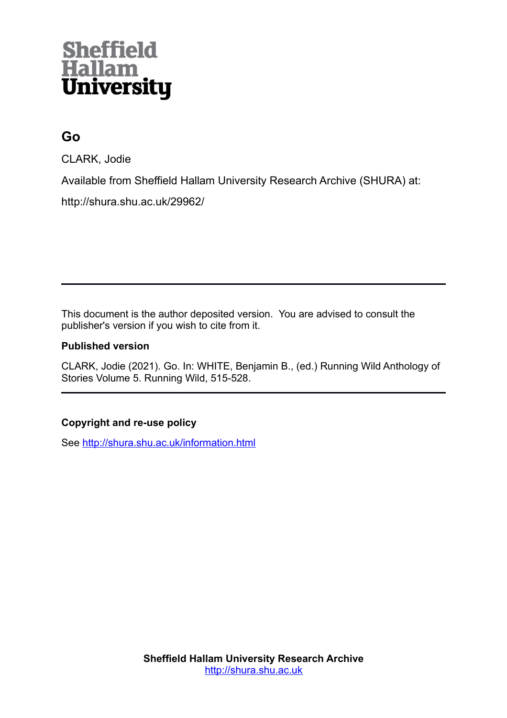# **Sheffield<br>Hallam<br>University**

# **Go**

CLARK, Jodie

Available from Sheffield Hallam University Research Archive (SHURA) at:

http://shura.shu.ac.uk/29962/

This document is the author deposited version. You are advised to consult the publisher's version if you wish to cite from it.

# **Published version**

CLARK, Jodie (2021). Go. In: WHITE, Benjamin B., (ed.) Running Wild Anthology of Stories Volume 5. Running Wild, 515-528.

# **Copyright and re-use policy**

See<http://shura.shu.ac.uk/information.html>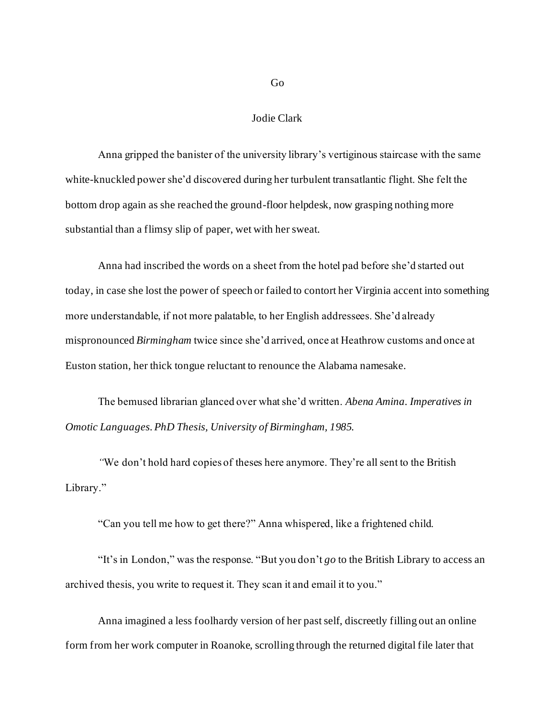Jodie Clark

Anna gripped the banister of the university library's vertiginous staircase with the same white-knuckled power she'd discovered during her turbulent transatlantic flight. She felt the bottom drop again as she reached the ground-floor helpdesk, now grasping nothing more substantial than a flimsy slip of paper, wet with her sweat.

Anna had inscribed the words on a sheet from the hotel pad before she'd started out today, in case she lost the power of speech or failed to contort her Virginia accent into something more understandable, if not more palatable, to her English addressees. She'd already mispronounced *Birmingham* twice since she'd arrived, once at Heathrow customs and once at Euston station, her thick tongue reluctant to renounce the Alabama namesake.

The bemused librarian glanced over what she'd written. *Abena Amina. Imperatives in Omotic Languages. PhD Thesis, University of Birmingham, 1985.*

*"*We don't hold hard copies of theses here anymore. They're all sent to the British Library."

"Can you tell me how to get there?" Anna whispered, like a frightened child.

"It's in London," was the response. "But you don't *go* to the British Library to access an archived thesis, you write to request it. They scan it and email it to you."

Anna imagined a less foolhardy version of her past self, discreetly filling out an online form from her work computer in Roanoke, scrolling through the returned digital file later that

Go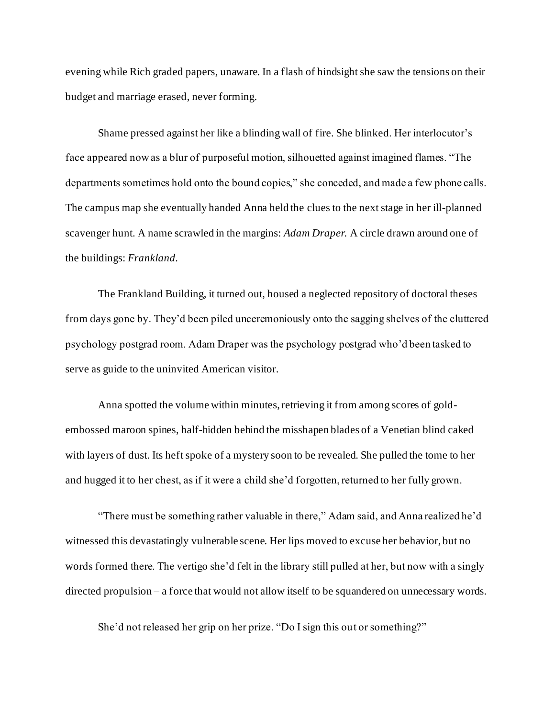evening while Rich graded papers, unaware. In a flash of hindsight she saw the tensions on their budget and marriage erased, never forming.

Shame pressed against her like a blinding wall of fire. She blinked. Her interlocutor's face appeared now as a blur of purposeful motion, silhouetted against imagined flames. "The departments sometimes hold onto the bound copies," she conceded, and made a few phone calls. The campus map she eventually handed Anna held the clues to the next stage in her ill-planned scavenger hunt. A name scrawled in the margins: *Adam Draper.* A circle drawn around one of the buildings: *Frankland.*

The Frankland Building, it turned out, housed a neglected repository of doctoral theses from days gone by. They'd been piled unceremoniously onto the sagging shelves of the cluttered psychology postgrad room. Adam Draper was the psychology postgrad who'd been tasked to serve as guide to the uninvited American visitor.

Anna spotted the volume within minutes, retrieving it from among scores of goldembossed maroon spines, half-hidden behind the misshapen blades of a Venetian blind caked with layers of dust. Its heft spoke of a mystery soon to be revealed. She pulled the tome to her and hugged it to her chest, as if it were a child she'd forgotten, returned to her fully grown.

"There must be something rather valuable in there," Adam said, and Anna realized he'd witnessed this devastatingly vulnerable scene. Her lips moved to excuse her behavior, but no words formed there. The vertigo she'd felt in the library still pulled at her, but now with a singly directed propulsion – a force that would not allow itself to be squandered on unnecessary words.

She'd not released her grip on her prize. "Do I sign this out or something?"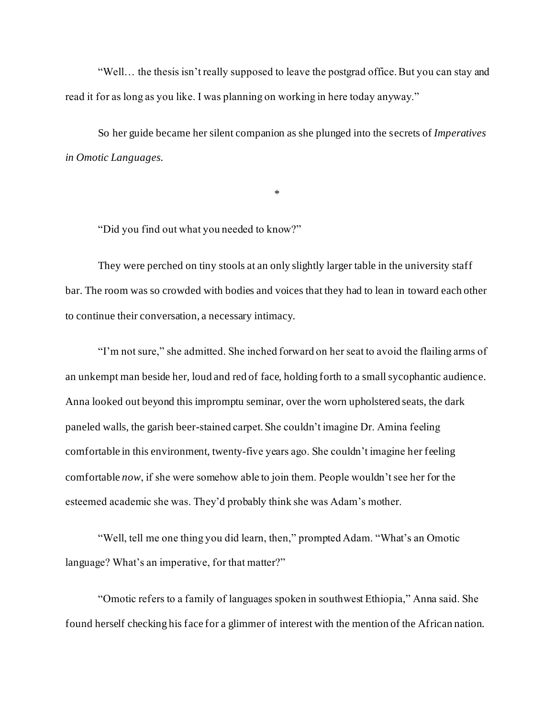"Well… the thesis isn't really supposed to leave the postgrad office. But you can stay and read it for as long as you like. I was planning on working in here today anyway."

So her guide became her silent companion as she plunged into the secrets of *Imperatives in Omotic Languages.*

\*

"Did you find out what you needed to know?"

They were perched on tiny stools at an only slightly larger table in the university staff bar. The room was so crowded with bodies and voices that they had to lean in toward each other to continue their conversation, a necessary intimacy.

"I'm not sure," she admitted. She inched forward on her seat to avoid the flailing arms of an unkempt man beside her, loud and red of face, holding forth to a small sycophantic audience. Anna looked out beyond this impromptu seminar, over the worn upholstered seats, the dark paneled walls, the garish beer-stained carpet. She couldn't imagine Dr. Amina feeling comfortable in this environment, twenty-five years ago. She couldn't imagine her feeling comfortable *now*, if she were somehow able to join them. People wouldn't see her for the esteemed academic she was. They'd probably think she was Adam's mother.

"Well, tell me one thing you did learn, then," prompted Adam. "What's an Omotic language? What's an imperative, for that matter?"

"Omotic refers to a family of languages spoken in southwest Ethiopia," Anna said. She found herself checking his face for a glimmer of interest with the mention of the African nation.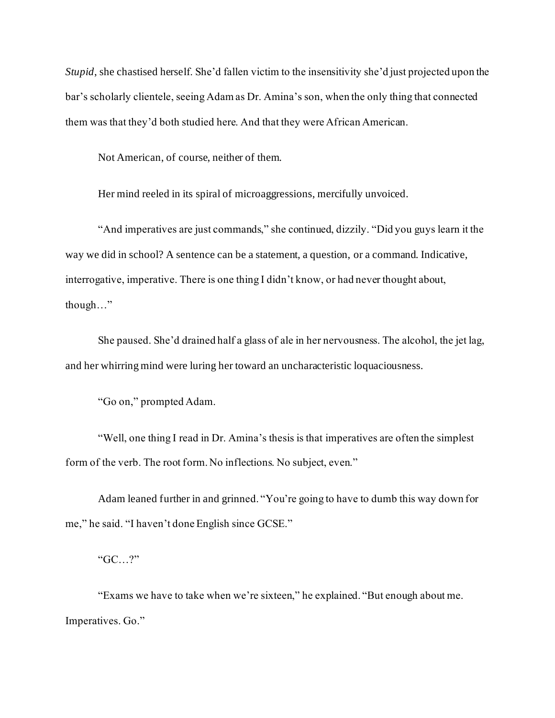*Stupid*, she chastised herself. She'd fallen victim to the insensitivity she'd just projected upon the bar's scholarly clientele, seeing Adam as Dr. Amina's son, when the only thing that connected them was that they'd both studied here. And that they were African American.

Not American, of course, neither of them.

Her mind reeled in its spiral of microaggressions, mercifully unvoiced.

"And imperatives are just commands," she continued, dizzily. "Did you guys learn it the way we did in school? A sentence can be a statement, a question, or a command. Indicative, interrogative, imperative. There is one thing I didn't know, or had never thought about, though…"

She paused. She'd drained half a glass of ale in her nervousness. The alcohol, the jet lag, and her whirring mind were luring her toward an uncharacteristic loquaciousness.

"Go on," prompted Adam.

"Well, one thing I read in Dr. Amina's thesis is that imperatives are often the simplest form of the verb. The root form. No inflections. No subject, even."

Adam leaned further in and grinned. "You're going to have to dumb this way down for me," he said. "I haven't done English since GCSE."

"GC…?"

"Exams we have to take when we're sixteen," he explained. "But enough about me. Imperatives. Go."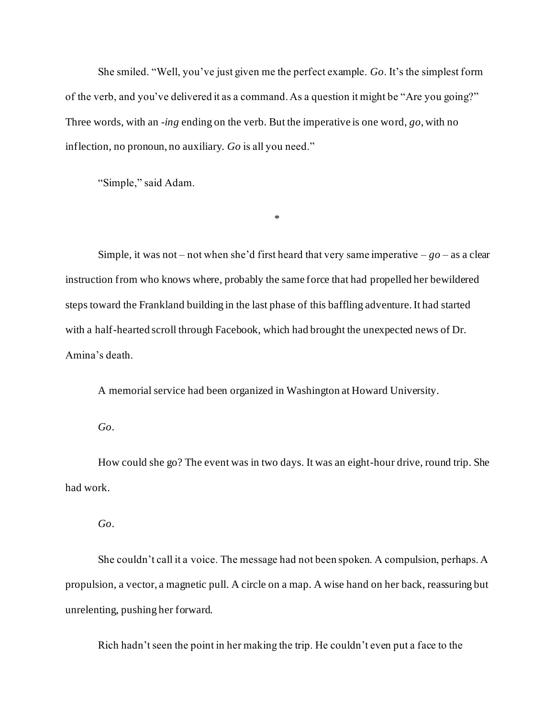She smiled. "Well, you've just given me the perfect example. *Go*. It's the simplest form of the verb, and you've delivered it as a command. As a question it might be "Are you going?" Three words, with an -*ing* ending on the verb. But the imperative is one word, *go*, with no inflection, no pronoun, no auxiliary. *Go* is all you need."

"Simple," said Adam.

Simple, it was not – not when she'd first heard that very same imperative –  $g_0$  – as a clear instruction from who knows where, probably the same force that had propelled her bewildered steps toward the Frankland building in the last phase of this baffling adventure. It had started with a half-hearted scroll through Facebook, which had brought the unexpected news of Dr. Amina's death.

\*

A memorial service had been organized in Washington at Howard University.

*Go*.

How could she go? The event was in two days. It was an eight-hour drive, round trip. She had work.

*Go*.

She couldn't call it a voice. The message had not been spoken. A compulsion, perhaps. A propulsion, a vector, a magnetic pull. A circle on a map. A wise hand on her back, reassuring but unrelenting, pushing her forward.

Rich hadn't seen the point in her making the trip. He couldn't even put a face to the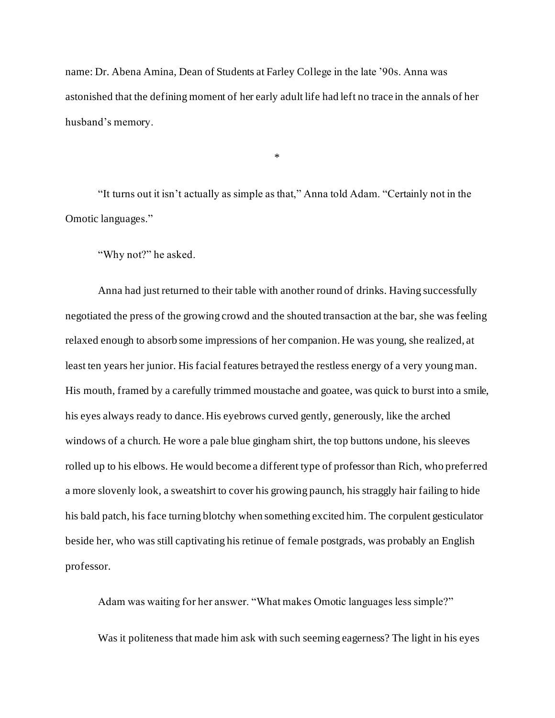name: Dr. Abena Amina, Dean of Students at Farley College in the late '90s. Anna was astonished that the defining moment of her early adult life had left no trace in the annals of her husband's memory.

\*

"It turns out it isn't actually as simple as that," Anna told Adam. "Certainly not in the Omotic languages."

"Why not?" he asked.

Anna had just returned to their table with another round of drinks. Having successfully negotiated the press of the growing crowd and the shouted transaction at the bar, she was feeling relaxed enough to absorb some impressions of her companion. He was young, she realized, at least ten years her junior. His facial features betrayed the restless energy of a very young man. His mouth, framed by a carefully trimmed moustache and goatee, was quick to burst into a smile, his eyes always ready to dance. His eyebrows curved gently, generously, like the arched windows of a church. He wore a pale blue gingham shirt, the top buttons undone, his sleeves rolled up to his elbows. He would become a different type of professor than Rich, who preferred a more slovenly look, a sweatshirt to cover his growing paunch, his straggly hair failing to hide his bald patch, his face turning blotchy when something excited him. The corpulent gesticulator beside her, who was still captivating his retinue of female postgrads, was probably an English professor.

Adam was waiting for her answer. "What makes Omotic languages less simple?" Was it politeness that made him ask with such seeming eagerness? The light in his eyes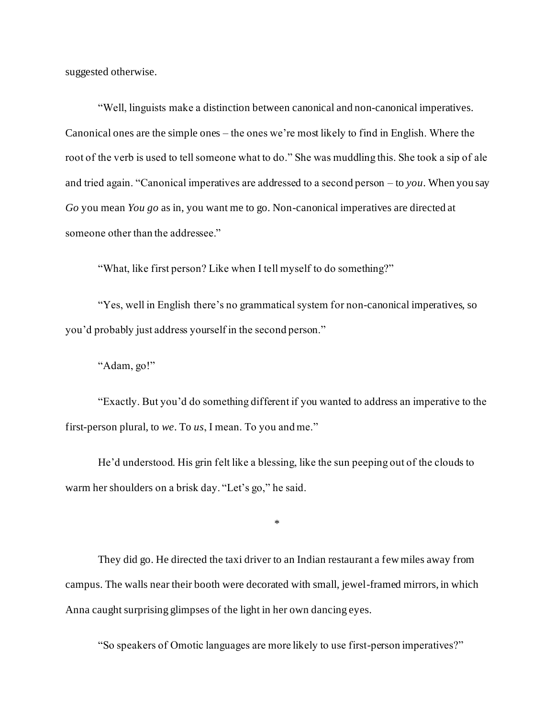suggested otherwise.

"Well, linguists make a distinction between canonical and non-canonical imperatives. Canonical ones are the simple ones – the ones we're most likely to find in English. Where the root of the verb is used to tell someone what to do." She was muddling this. She took a sip of ale and tried again. "Canonical imperatives are addressed to a second person – to *you*. When you say *Go* you mean *You go* as in, you want me to go. Non-canonical imperatives are directed at someone other than the addressee."

"What, like first person? Like when I tell myself to do something?"

"Yes, well in English there's no grammatical system for non-canonical imperatives, so you'd probably just address yourself in the second person."

"Adam, go!"

"Exactly. But you'd do something different if you wanted to address an imperative to the first-person plural, to *we*. To *us*, I mean. To you and me."

He'd understood. His grin felt like a blessing, like the sun peeping out of the clouds to warm her shoulders on a brisk day. "Let's go," he said.

\*

They did go. He directed the taxi driver to an Indian restaurant a few miles away from campus. The walls near their booth were decorated with small, jewel-framed mirrors, in which Anna caught surprising glimpses of the light in her own dancing eyes.

"So speakers of Omotic languages are more likely to use first-person imperatives?"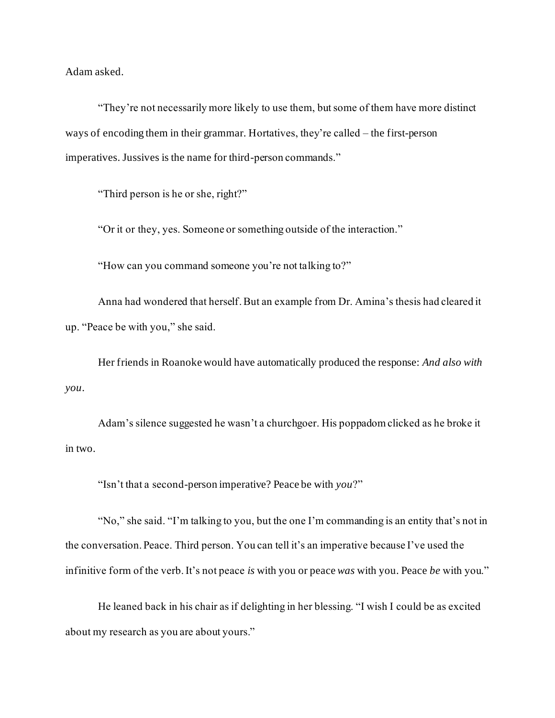Adam asked.

"They're not necessarily more likely to use them, but some of them have more distinct ways of encoding them in their grammar. Hortatives, they're called – the first-person imperatives. Jussives is the name for third-person commands."

"Third person is he or she, right?"

"Or it or they, yes. Someone or something outside of the interaction."

"How can you command someone you're not talking to?"

Anna had wondered that herself. But an example from Dr. Amina's thesis had cleared it up. "Peace be with you," she said.

Her friends in Roanoke would have automatically produced the response: *And also with you*.

Adam's silence suggested he wasn't a churchgoer. His poppadom clicked as he broke it in two.

"Isn't that a second-person imperative? Peace be with *you*?"

"No," she said. "I'm talking to you, but the one I'm commanding is an entity that's not in the conversation. Peace. Third person. You can tell it's an imperative because I've used the infinitive form of the verb. It's not peace *is* with you or peace *was* with you. Peace *be* with you."

He leaned back in his chair as if delighting in her blessing. "I wish I could be as excited about my research as you are about yours."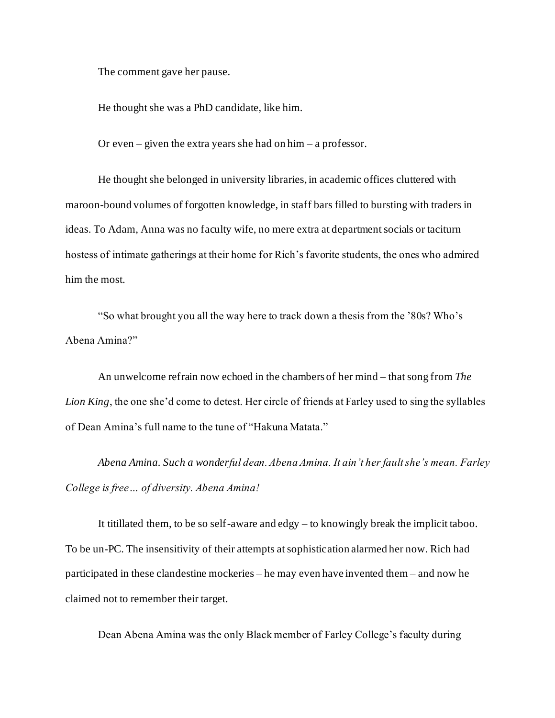The comment gave her pause.

He thought she was a PhD candidate, like him.

Or even – given the extra years she had on him – a professor.

He thought she belonged in university libraries, in academic offices cluttered with maroon-bound volumes of forgotten knowledge, in staff bars filled to bursting with traders in ideas. To Adam, Anna was no faculty wife, no mere extra at department socials or taciturn hostess of intimate gatherings at their home for Rich's favorite students, the ones who admired him the most.

"So what brought you all the way here to track down a thesis from the '80s? Who's Abena Amina?"

An unwelcome refrain now echoed in the chambers of her mind – that song from *The Lion King*, the one she'd come to detest. Her circle of friends at Farley used to sing the syllables of Dean Amina's full name to the tune of "Hakuna Matata."

*Abena Amina. Such a wonderful dean. Abena Amina. It ain't her fault she's mean. Farley College is free… of diversity. Abena Amina!*

It titillated them, to be so self-aware and edgy – to knowingly break the implicit taboo. To be un-PC. The insensitivity of their attempts at sophistication alarmed her now. Rich had participated in these clandestine mockeries – he may even have invented them – and now he claimed not to remember their target.

Dean Abena Amina was the only Black member of Farley College's faculty during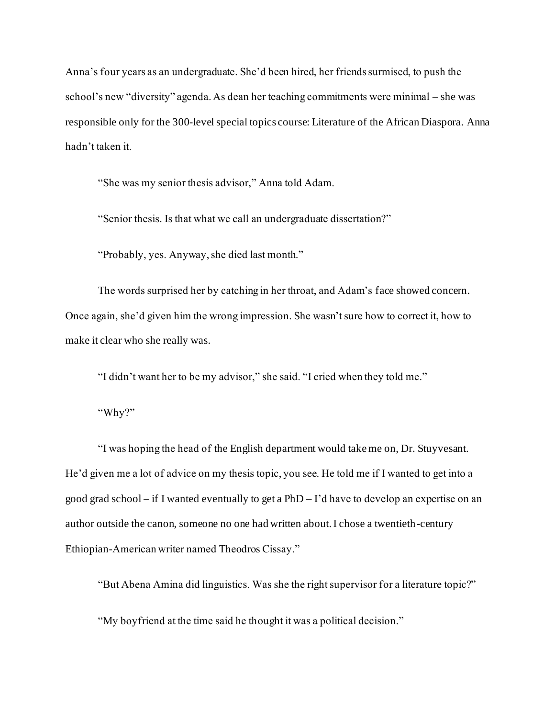Anna's four years as an undergraduate. She'd been hired, her friends surmised, to push the school's new "diversity" agenda. As dean her teaching commitments were minimal – she was responsible only for the 300-level special topics course: Literature of the African Diaspora. Anna hadn't taken it.

"She was my senior thesis advisor," Anna told Adam.

"Senior thesis. Is that what we call an undergraduate dissertation?"

"Probably, yes. Anyway, she died last month."

The words surprised her by catching in her throat, and Adam's face showed concern. Once again, she'd given him the wrong impression. She wasn't sure how to correct it, how to make it clear who she really was.

"I didn't want her to be my advisor," she said. "I cried when they told me."

"Why?"

"I was hoping the head of the English department would take me on, Dr. Stuyvesant. He'd given me a lot of advice on my thesis topic, you see. He told me if I wanted to get into a good grad school – if I wanted eventually to get a PhD – I'd have to develop an expertise on an author outside the canon, someone no one had written about. I chose a twentieth-century Ethiopian-American writer named Theodros Cissay."

"But Abena Amina did linguistics. Was she the right supervisor for a literature topic?"

"My boyfriend at the time said he thought it was a political decision."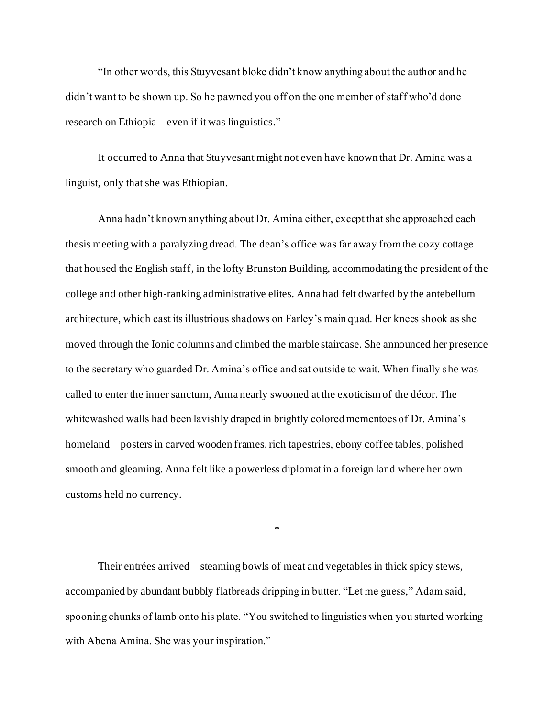"In other words, this Stuyvesant bloke didn't know anything about the author and he didn't want to be shown up. So he pawned you off on the one member of staff who'd done research on Ethiopia – even if it was linguistics."

It occurred to Anna that Stuyvesant might not even have known that Dr. Amina was a linguist, only that she was Ethiopian.

Anna hadn't known anything about Dr. Amina either, except that she approached each thesis meeting with a paralyzing dread. The dean's office was far away from the cozy cottage that housed the English staff, in the lofty Brunston Building, accommodating the president of the college and other high-ranking administrative elites. Anna had felt dwarfed by the antebellum architecture, which cast its illustrious shadows on Farley's main quad. Her knees shook as she moved through the Ionic columns and climbed the marble staircase. She announced her presence to the secretary who guarded Dr. Amina's office and sat outside to wait. When finally she was called to enter the inner sanctum, Anna nearly swooned at the exoticism of the décor. The whitewashed walls had been lavishly draped in brightly colored mementoes of Dr. Amina's homeland – posters in carved wooden frames, rich tapestries, ebony coffee tables, polished smooth and gleaming. Anna felt like a powerless diplomat in a foreign land where her own customs held no currency.

\*

Their entrées arrived – steaming bowls of meat and vegetables in thick spicy stews, accompanied by abundant bubbly flatbreads dripping in butter. "Let me guess," Adam said, spooning chunks of lamb onto his plate. "You switched to linguistics when you started working with Abena Amina. She was your inspiration."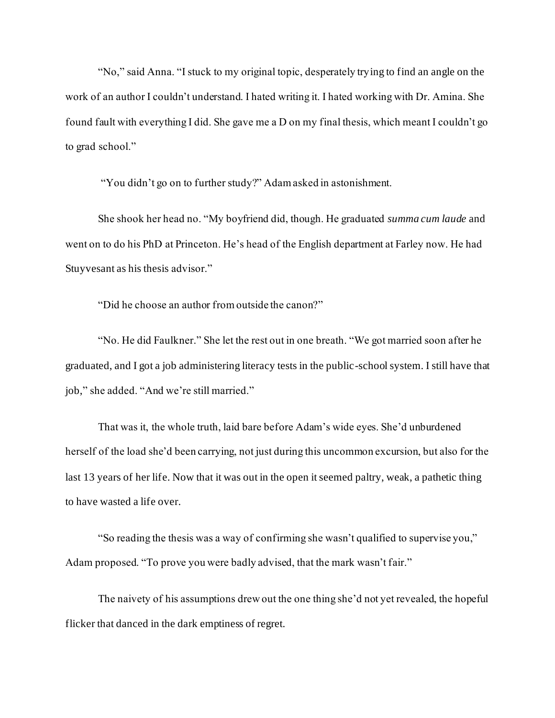"No," said Anna. "I stuck to my original topic, desperately trying to find an angle on the work of an author I couldn't understand. I hated writing it. I hated working with Dr. Amina. She found fault with everything I did. She gave me a D on my final thesis, which meant I couldn't go to grad school."

"You didn't go on to further study?" Adam asked in astonishment.

She shook her head no. "My boyfriend did, though. He graduated *summa cum laude* and went on to do his PhD at Princeton. He's head of the English department at Farley now. He had Stuyvesant as his thesis advisor."

"Did he choose an author from outside the canon?"

"No. He did Faulkner." She let the rest out in one breath. "We got married soon after he graduated, and I got a job administering literacy tests in the public-school system. I still have that job," she added. "And we're still married."

That was it, the whole truth, laid bare before Adam's wide eyes. She'd unburdened herself of the load she'd been carrying, not just during this uncommon excursion, but also for the last 13 years of her life. Now that it was out in the open it seemed paltry, weak, a pathetic thing to have wasted a life over.

"So reading the thesis was a way of confirming she wasn't qualified to supervise you," Adam proposed. "To prove you were badly advised, that the mark wasn't fair."

The naivety of his assumptions drew out the one thing she'd not yet revealed, the hopeful flicker that danced in the dark emptiness of regret.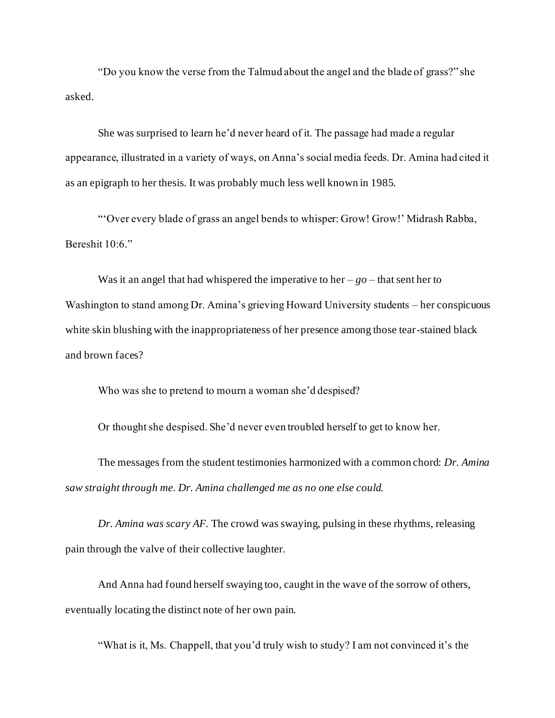"Do you know the verse from the Talmud about the angel and the blade of grass?" she asked.

She was surprised to learn he'd never heard of it. The passage had made a regular appearance, illustrated in a variety of ways, on Anna's social media feeds. Dr. Amina had cited it as an epigraph to her thesis. It was probably much less well known in 1985.

"'Over every blade of grass an angel bends to whisper: Grow! Grow!' Midrash Rabba, Bereshit 10:6."

Was it an angel that had whispered the imperative to her  $-g_0$  – that sent her to Washington to stand among Dr. Amina's grieving Howard University students – her conspicuous white skin blushing with the inappropriateness of her presence among those tear-stained black and brown faces?

Who was she to pretend to mourn a woman she'd despised?

Or thought she despised. She'd never even troubled herself to get to know her.

The messages from the student testimonies harmonized with a common chord: *Dr. Amina saw straight through me. Dr. Amina challenged me as no one else could.*

*Dr. Amina was scary AF.* The crowd was swaying, pulsing in these rhythms, releasing pain through the valve of their collective laughter.

And Anna had found herself swaying too, caught in the wave of the sorrow of others, eventually locating the distinct note of her own pain.

"What is it, Ms. Chappell, that you'd truly wish to study? I am not convinced it's the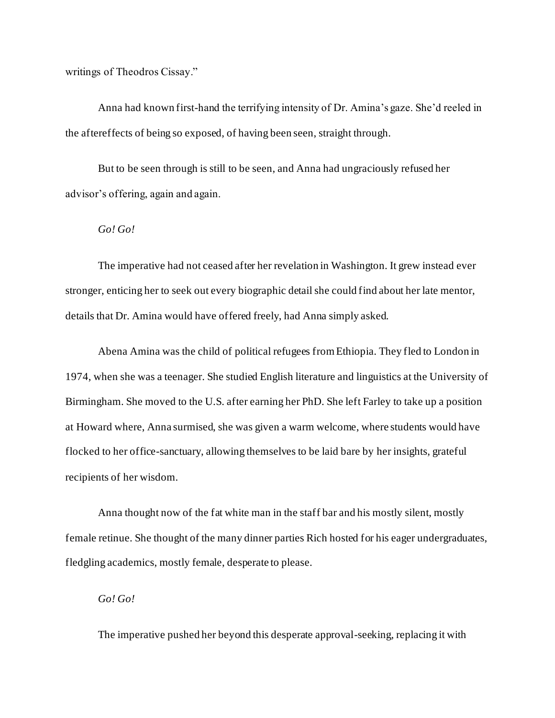writings of Theodros Cissay."

Anna had known first-hand the terrifying intensity of Dr. Amina's gaze. She'd reeled in the aftereffects of being so exposed, of having been seen, straight through.

But to be seen through is still to be seen, and Anna had ungraciously refused her advisor's offering, again and again.

### *Go! Go!*

The imperative had not ceased after her revelation in Washington. It grew instead ever stronger, enticing her to seek out every biographic detail she could find about her late mentor, details that Dr. Amina would have offered freely, had Anna simply asked.

Abena Amina was the child of political refugees from Ethiopia. They fled to London in 1974, when she was a teenager. She studied English literature and linguistics at the University of Birmingham. She moved to the U.S. after earning her PhD. She left Farley to take up a position at Howard where, Anna surmised, she was given a warm welcome, where students would have flocked to her office-sanctuary, allowing themselves to be laid bare by her insights, grateful recipients of her wisdom.

Anna thought now of the fat white man in the staff bar and his mostly silent, mostly female retinue. She thought of the many dinner parties Rich hosted for his eager undergraduates, fledgling academics, mostly female, desperate to please.

### *Go! Go!*

The imperative pushed her beyond this desperate approval-seeking, replacing it with